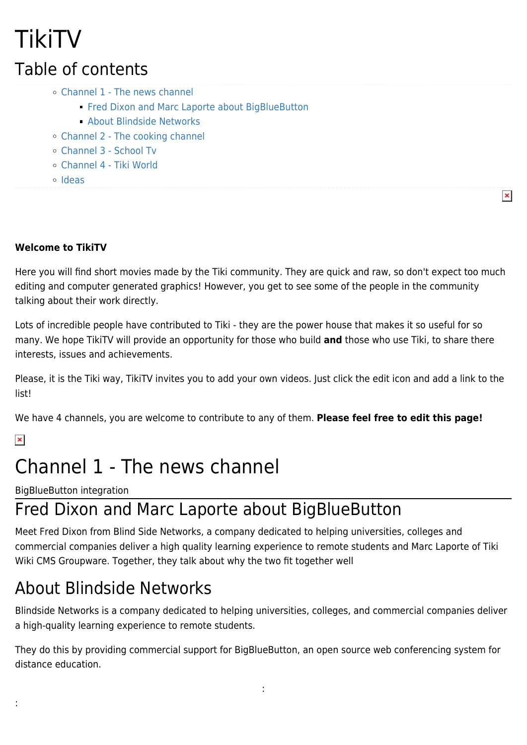## TikiTV Table of contents

- [Channel 1 The news channel](#page--1-0)
	- **[Fred Dixon and Marc Laporte about BigBlueButton](#page--1-0)**
	- [About Blindside Networks](#page--1-0)
- [Channel 2 The cooking channel](#page--1-0)
- [Channel 3 School Tv](#page--1-0)
- [Channel 4 Tiki World](#page--1-0)
- [Ideas](#page--1-0)

#### **Welcome to TikiTV**

Here you will find short movies made by the Tiki community. They are quick and raw, so don't expect too much editing and computer generated graphics! However, you get to see some of the people in the community talking about their work directly.

 $\pmb{\times}$ 

Lots of incredible people have contributed to Tiki - they are the power house that makes it so useful for so many. We hope TikiTV will provide an opportunity for those who build **and** those who use Tiki, to share there interests, issues and achievements.

Please, it is the Tiki way, TikiTV invites you to add your own videos. Just click the edit icon and add a link to the list!

We have 4 channels, you are welcome to contribute to any of them. **Please feel free to edit this page!**

#### $\pmb{\times}$

:

## Channel 1 - The news channel

BigBlueButton integration

### Fred Dixon and Marc Laporte about BigBlueButton

Meet Fred Dixon from Blind Side Networks, a company dedicated to helping universities, colleges and commercial companies deliver a high quality learning experience to remote students and Marc Laporte of Tiki Wiki CMS Groupware. Together, they talk about why the two fit together well

### About Blindside Networks

Blindside Networks is a company dedicated to helping universities, colleges, and commercial companies deliver a high-quality learning experience to remote students.

They do this by providing commercial support for BigBlueButton, an open source web conferencing system for distance education.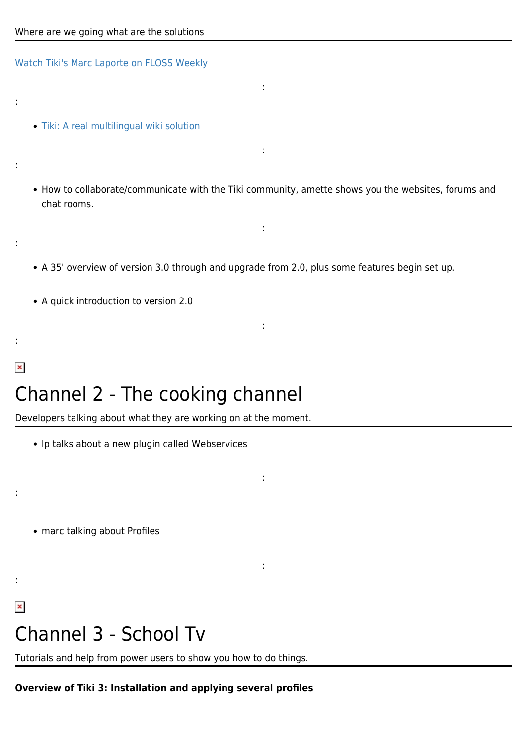[Watch Tiki's Marc Laporte on FLOSS Weekly](https://info.tiki.org/tiki-read_article.php?articleId=136)

:

:

:

:

 $\pmb{\times}$ 

:

:

 $\pmb{\times}$ 

- [Tiki: A real multilingual wiki solution](http://info.tiki.org/article130-A-Real-Multilingual-Wiki-Solution)
- How to collaborate/communicate with the Tiki community, amette shows you the websites, forums and chat rooms.

:

:

:

:

:

:

- A 35' overview of version 3.0 through and upgrade from 2.0, plus some features begin set up.
- A quick introduction to version 2.0

## Channel 2 - The cooking channel

Developers talking about what they are working on at the moment.

- lp talks about a new plugin called Webservices
- marc talking about Profiles

# Channel 3 - School Tv

Tutorials and help from power users to show you how to do things.

### **Overview of Tiki 3: Installation and applying several profiles**